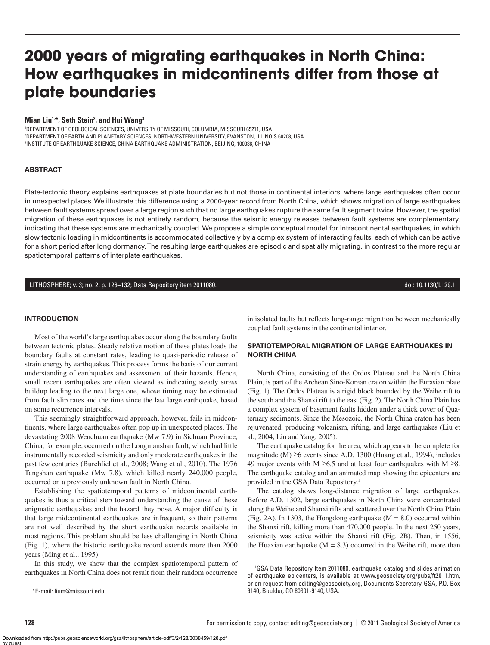# **2000 years of migrating earthquakes in North China: How earthquakes in midcontinents differ from those at plate boundaries**

#### **Mian Liu1,\*, Seth Stein2 , and Hui Wang3**

1 DEPARTMENT OF GEOLOGICAL SCIENCES, UNIVERSITY OF MISSOURI, COLUMBIA, MISSOURI 65211, USA 2 DEPARTMENT OF EARTH AND PLANETARY SCIENCES, NORTHWESTERN UNIVERSITY, EVANSTON, ILLINOIS 60208, USA 3 INSTITUTE OF EARTHQUAKE SCIENCE, CHINA EARTHQUAKE ADMINISTRATION, BEIJING, 100036, CHINA

### **ABSTRACT**

Plate-tectonic theory explains earthquakes at plate boundaries but not those in continental interiors, where large earthquakes often occur in unexpected places. We illustrate this difference using a 2000-year record from North China, which shows migration of large earthquakes between fault systems spread over a large region such that no large earthquakes rupture the same fault segment twice. However, the spatial migration of these earthquakes is not entirely random, because the seismic energy releases between fault systems are complementary, indicating that these systems are mechanically coupled. We propose a simple conceptual model for intracontinental earthquakes, in which slow tectonic loading in midcontinents is accommodated collectively by a complex system of interacting faults, each of which can be active for a short period after long dormancy. The resulting large earthquakes are episodic and spatially migrating, in contrast to the more regular spatiotemporal patterns of interplate earthquakes.

## LITHOSPHERE; v. 3; no. 2; p. 128–132; Data Repository item 2011080. doi: 10.1130/L129.1

### **INTRODUCTION**

Most of the world's large earthquakes occur along the boundary faults between tectonic plates. Steady relative motion of these plates loads the boundary faults at constant rates, leading to quasi-periodic release of strain energy by earthquakes. This process forms the basis of our current understanding of earthquakes and assessment of their hazards. Hence, small recent earthquakes are often viewed as indicating steady stress buildup leading to the next large one, whose timing may be estimated from fault slip rates and the time since the last large earthquake, based on some recurrence intervals.

This seemingly straightforward approach, however, fails in midcontinents, where large earthquakes often pop up in unexpected places. The devastating 2008 Wenchuan earthquake (Mw 7.9) in Sichuan Province, China, for example, occurred on the Longmanshan fault, which had little instrumentally recorded seismicity and only moderate earthquakes in the past few centuries (Burchfiel et al., 2008; Wang et al., 2010). The 1976 Tangshan earthquake (Mw 7.8), which killed nearly 240,000 people, occurred on a previously unknown fault in North China.

Establishing the spatiotemporal patterns of midcontinental earthquakes is thus a critical step toward understanding the cause of these enigmatic earthquakes and the hazard they pose. A major difficulty is that large midcontinental earthquakes are infrequent, so their patterns are not well described by the short earthquake records available in most regions. This problem should be less challenging in North China (Fig. 1), where the historic earthquake record extends more than 2000 years (Ming et al., 1995).

In this study, we show that the complex spatiotemporal pattern of earthquakes in North China does not result from their random occurrence

in isolated faults but reflects long-range migration between mechanically coupled fault systems in the continental interior.

## **SPATIOTEMPORAL MIGRATION OF LARGE EARTHQUAKES IN NORTH CHINA**

North China, consisting of the Ordos Plateau and the North China Plain, is part of the Archean Sino-Korean craton within the Eurasian plate (Fig. 1). The Ordos Plateau is a rigid block bounded by the Weihe rift to the south and the Shanxi rift to the east (Fig. 2). The North China Plain has a complex system of basement faults hidden under a thick cover of Quaternary sediments. Since the Mesozoic, the North China craton has been rejuvenated, producing volcanism, rifting, and large earthquakes (Liu et al., 2004; Liu and Yang, 2005).

The earthquake catalog for the area, which appears to be complete for magnitude (M) ≥6 events since A.D. 1300 (Huang et al., 1994), includes 49 major events with M ≥6.5 and at least four earthquakes with M ≥8. The earthquake catalog and an animated map showing the epicenters are provided in the GSA Data Repository.1

The catalog shows long-distance migration of large earthquakes. Before A.D. 1302, large earthquakes in North China were concentrated along the Weihe and Shanxi rifts and scattered over the North China Plain (Fig. 2A). In 1303, the Hongdong earthquake  $(M = 8.0)$  occurred within the Shanxi rift, killing more than 470,000 people. In the next 250 years, seismicity was active within the Shanxi rift (Fig. 2B). Then, in 1556, the Huaxian earthquake  $(M = 8.3)$  occurred in the Weihe rift, more than

<sup>1</sup> GSA Data Repository Item 2011080, earthquake catalog and slides animation of earthquake epicenters, is available at www.geosociety.org/pubs/ft2011.htm, or on request from editing@geosociety.org, Documents Secretary, GSA, P.O. Box 9140, Boulder, CO 80301-9140, USA.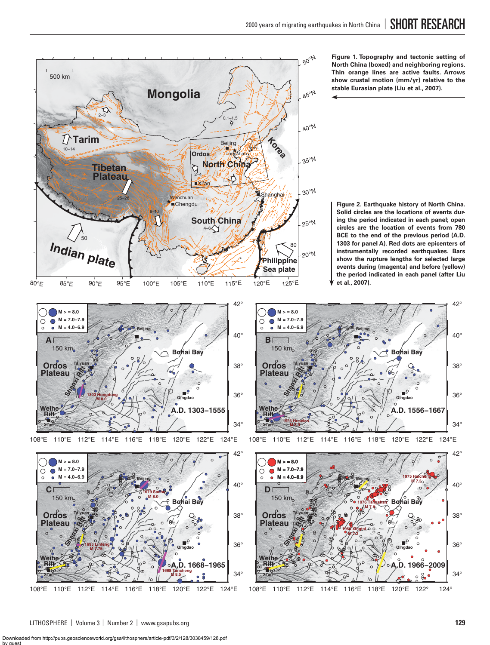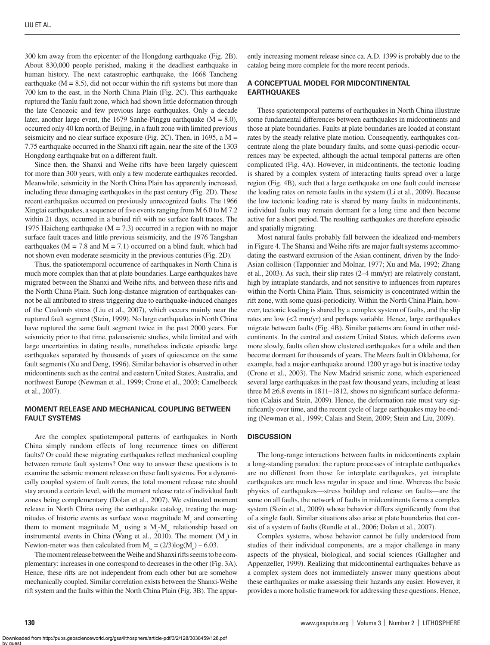300 km away from the epicenter of the Hongdong earthquake (Fig. 2B). About 830,000 people perished, making it the deadliest earthquake in human history. The next catastrophic earthquake, the 1668 Tancheng earthquake  $(M = 8.5)$ , did not occur within the rift systems but more than 700 km to the east, in the North China Plain (Fig. 2C). This earthquake ruptured the Tanlu fault zone, which had shown little deformation through the late Cenozoic and few previous large earthquakes. Only a decade later, another large event, the 1679 Sanhe-Pinggu earthquake  $(M = 8.0)$ , occurred only 40 km north of Beijing, in a fault zone with limited previous seismicity and no clear surface exposure (Fig. 2C). Then, in 1695, a  $M =$ 7.75 earthquake occurred in the Shanxi rift again, near the site of the 1303 Hongdong earthquake but on a different fault.

Since then, the Shanxi and Weihe rifts have been largely quiescent for more than 300 years, with only a few moderate earthquakes recorded. Meanwhile, seismicity in the North China Plain has apparently increased, including three damaging earthquakes in the past century (Fig. 2D). These recent earthquakes occurred on previously unrecognized faults. The 1966 Xingtai earthquakes, a sequence of five events ranging from  $M$  6.0 to  $M$  7.2 within 21 days, occurred in a buried rift with no surface fault traces. The 1975 Haicheng earthquake ( $M = 7.3$ ) occurred in a region with no major surface fault traces and little previous seismicity, and the 1976 Tangshan earthquakes ( $M = 7.8$  and  $M = 7.1$ ) occurred on a blind fault, which had not shown even moderate seismicity in the previous centuries (Fig. 2D).

Thus, the spatiotemporal occurrence of earthquakes in North China is much more complex than that at plate boundaries. Large earthquakes have migrated between the Shanxi and Weihe rifts, and between these rifts and the North China Plain. Such long-distance migration of earthquakes cannot be all attributed to stress triggering due to earthquake-induced changes of the Coulomb stress (Liu et al., 2007), which occurs mainly near the ruptured fault segment (Stein, 1999). No large earthquakes in North China have ruptured the same fault segment twice in the past 2000 years. For seismicity prior to that time, paleoseismic studies, while limited and with large uncertainties in dating results, nonetheless indicate episodic large earthquakes separated by thousands of years of quiescence on the same fault segments (Xu and Deng, 1996). Similar behavior is observed in other midcontinents such as the central and eastern United States, Australia, and northwest Europe (Newman et al., 1999; Crone et al., 2003; Camelbeeck et al., 2007).

## **MOMENT RELEASE AND MECHANICAL COUPLING BETWEEN FAULT SYSTEMS**

Are the complex spatiotemporal patterns of earthquakes in North China simply random effects of long recurrence times on different faults? Or could these migrating earthquakes reflect mechanical coupling between remote fault systems? One way to answer these questions is to examine the seismic moment release on these fault systems. For a dynamically coupled system of fault zones, the total moment release rate should stay around a certain level, with the moment release rate of individual fault zones being complementary (Dolan et al., 2007). We estimated moment release in North China using the earthquake catalog, treating the magnitudes of historic events as surface wave magnitude  $M_s$  and converting them to moment magnitude  $M_{w}$  using a  $M_{s}$ - $M_{w}$  relationship based on instrumental events in China (Wang et al., 2010). The moment  $(M_0)$  in Newton-meter was then calculated from  $M_w = (2/3)log(M_0) - 6.03$ .

The moment release between the Weihe and Shanxi rifts seems to be complementary: increases in one correspond to decreases in the other (Fig. 3A). Hence, these rifts are not independent from each other but are somehow mechanically coupled. Similar correlation exists between the Shanxi-Weihe rift system and the faults within the North China Plain (Fig. 3B). The apparently increasing moment release since ca. A.D. 1399 is probably due to the catalog being more complete for the more recent periods.

# **A CONCEPTUAL MODEL FOR MIDCONTINENTAL EARTHQUAKES**

These spatiotemporal patterns of earthquakes in North China illustrate some fundamental differences between earthquakes in midcontinents and those at plate boundaries. Faults at plate boundaries are loaded at constant rates by the steady relative plate motion. Consequently, earthquakes concentrate along the plate boundary faults, and some quasi-periodic occurrences may be expected, although the actual temporal patterns are often complicated (Fig. 4A). However, in midcontinents, the tectonic loading is shared by a complex system of interacting faults spread over a large region (Fig. 4B), such that a large earthquake on one fault could increase the loading rates on remote faults in the system (Li et al., 2009). Because the low tectonic loading rate is shared by many faults in midcontinents, individual faults may remain dormant for a long time and then become active for a short period. The resulting earthquakes are therefore episodic and spatially migrating.

Most natural faults probably fall between the idealized end-members in Figure 4. The Shanxi and Weihe rifts are major fault systems accommodating the eastward extrusion of the Asian continent, driven by the Indo-Asian collision (Tapponnier and Molnar, 1977; Xu and Ma, 1992; Zhang et al., 2003). As such, their slip rates (2–4 mm/yr) are relatively constant, high by intraplate standards, and not sensitive to influences from ruptures within the North China Plain. Thus, seismicity is concentrated within the rift zone, with some quasi-periodicity. Within the North China Plain, however, tectonic loading is shared by a complex system of faults, and the slip rates are low (<2 mm/yr) and perhaps variable. Hence, large earthquakes migrate between faults (Fig. 4B). Similar patterns are found in other midcontinents. In the central and eastern United States, which deforms even more slowly, faults often show clustered earthquakes for a while and then become dormant for thousands of years. The Meers fault in Oklahoma, for example, had a major earthquake around 1200 yr ago but is inactive today (Crone et al., 2003). The New Madrid seismic zone, which experienced several large earthquakes in the past few thousand years, including at least three M  $\geq$  6.8 events in 1811–1812, shows no significant surface deformation (Calais and Stein, 2009). Hence, the deformation rate must vary significantly over time, and the recent cycle of large earthquakes may be ending (Newman et al., 1999; Calais and Stein, 2009; Stein and Liu, 2009).

#### **DISCUSSION**

The long-range interactions between faults in midcontinents explain a long-standing paradox: the rupture processes of intraplate earthquakes are no different from those for interplate earthquakes, yet intraplate earthquakes are much less regular in space and time. Whereas the basic physics of earthquakes—stress buildup and release on faults—are the same on all faults, the network of faults in midcontinents forms a complex system (Stein et al., 2009) whose behavior differs significantly from that of a single fault. Similar situations also arise at plate boundaries that consist of a system of faults (Rundle et al., 2006; Dolan et al., 2007).

Complex systems, whose behavior cannot be fully understood from studies of their individual components, are a major challenge in many aspects of the physical, biological, and social sciences (Gallagher and Appenzeller, 1999). Realizing that midcontinental earthquakes behave as a complex system does not immediately answer many questions about these earthquakes or make assessing their hazards any easier. However, it provides a more holistic framework for addressing these questions. Hence,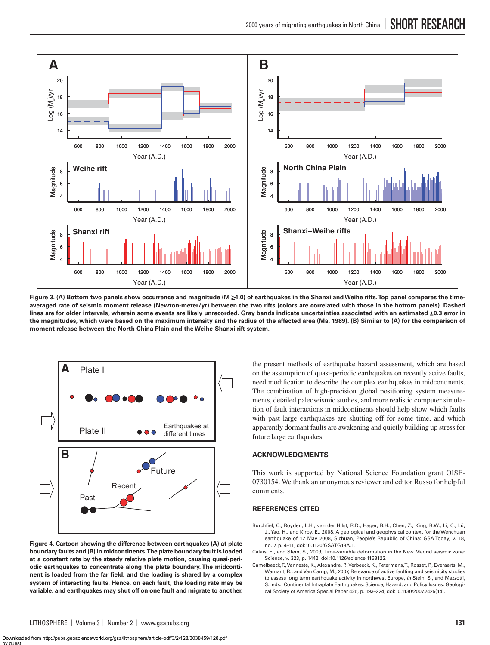

**Figure 3. (A) Bottom two panels show occurrence and magnitude (M** ≥**4.0) of earthquakes in the Shanxi and Weihe rifts. Top panel compares the timeaveraged rate of seismic moment release (Newton-meter/yr) between the two rifts (colors are correlated with those in the bottom panels). Dashed lines are for older intervals, wherein some events are likely unrecorded. Gray bands indicate uncertainties associated with an estimated ±0.3 error in the magnitudes, which were based on the maximum intensity and the radius of the affected area (Ma, 1989). (B) Similar to (A) for the comparison of moment release between the North China Plain and the Weihe-Shanxi rift system.**



**Figure 4. Cartoon showing the difference between earthquakes (A) at plate boundary faults and (B) in midcontinents. The plate boundary fault is loaded at a constant rate by the steady relative plate motion, causing quasi-periodic earthquakes to concentrate along the plate boundary. The midconti**nent is loaded from the far field, and the loading is shared by a complex **system of interacting faults. Hence, on each fault, the loading rate may be variable, and earthquakes may shut off on one fault and migrate to another.**

the present methods of earthquake hazard assessment, which are based on the assumption of quasi-periodic earthquakes on recently active faults, need modification to describe the complex earthquakes in midcontinents. The combination of high-precision global positioning system measurements, detailed paleoseismic studies, and more realistic computer simulation of fault interactions in midcontinents should help show which faults with past large earthquakes are shutting off for some time, and which apparently dormant faults are awakening and quietly building up stress for future large earthquakes.

# **ACKNOWLEDGMENTS**

This work is supported by National Science Foundation grant OISE-0730154. We thank an anonymous reviewer and editor Russo for helpful comments.

## **REFERENCES CITED**

- Burchfiel, C., Royden, L.H., van der Hilst, R.D., Hager, B.H., Chen, Z., King, R.W., Li, C., Lü, J., Yao, H., and Kirby, E., 2008, A geological and geophysical context for the Wenchuan earthquake of 12 May 2008, Sichuan, People's Republic of China: GSA Today, v. 18, no. 7, p. 4–11, doi:10.1130/GSATG18A.1.
- Calais, E., and Stein, S., 2009, Time-variable deformation in the New Madrid seismic zone: Science, v. 323, p. 1442, doi:10.1126/science.1168122.
- Camelbeeck, T., Vanneste, K., Alexandre, P., Verbeeck, K., Petermans, T., Rosset, P., Everaerts, M., Warnant, R., and Van Camp, M., 2007, Relevance of active faulting and seismicity studies to assess long term earthquake activity in northwest Europe, *in* Stein, S., and Mazzotti, S., eds., Continental Intraplate Earthquakes: Science, Hazard, and Policy Issues: Geological Society of America Special Paper 425, p. 193–224, doi:10.1130/2007.2425(14).